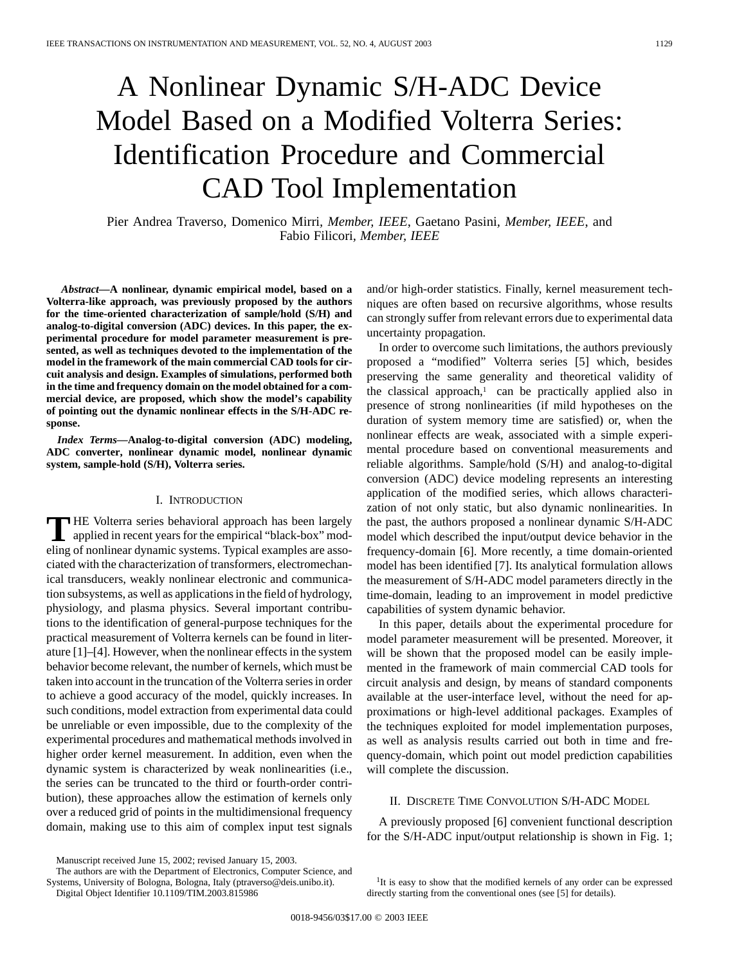# A Nonlinear Dynamic S/H-ADC Device Model Based on a Modified Volterra Series: Identification Procedure and Commercial CAD Tool Implementation

Pier Andrea Traverso, Domenico Mirri*, Member, IEEE*, Gaetano Pasini*, Member, IEEE*, and Fabio Filicori*, Member, IEEE*

*Abstract—***A nonlinear, dynamic empirical model, based on a Volterra-like approach, was previously proposed by the authors for the time-oriented characterization of sample/hold (S/H) and analog-to-digital conversion (ADC) devices. In this paper, the experimental procedure for model parameter measurement is presented, as well as techniques devoted to the implementation of the model in the framework of the main commercial CAD tools for circuit analysis and design. Examples of simulations, performed both in the time and frequency domain on the model obtained for a commercial device, are proposed, which show the model's capability of pointing out the dynamic nonlinear effects in the S/H-ADC response.**

*Index Terms—***Analog-to-digital conversion (ADC) modeling, ADC converter, nonlinear dynamic model, nonlinear dynamic system, sample-hold (S/H), Volterra series.**

## I. INTRODUCTION

**T** HE Volterra series behavioral approach has been largely applied in recent years for the empirical "black-box" modeling of nonlinear dynamic systems. Typical examples are associated with the characterization of transformers, electromechanical transducers, weakly nonlinear electronic and communication subsystems, as well as applications in the field of hydrology, physiology, and plasma physics. Several important contributions to the identification of general-purpose techniques for the practical measurement of Volterra kernels can be found in literature [1]–[4]. However, when the nonlinear effects in the system behavior become relevant, the number of kernels, which must be taken into account in the truncation of the Volterra series in order to achieve a good accuracy of the model, quickly increases. In such conditions, model extraction from experimental data could be unreliable or even impossible, due to the complexity of the experimental procedures and mathematical methods involved in higher order kernel measurement. In addition, even when the dynamic system is characterized by weak nonlinearities (i.e., the series can be truncated to the third or fourth-order contribution), these approaches allow the estimation of kernels only over a reduced grid of points in the multidimensional frequency domain, making use to this aim of complex input test signals

and/or high-order statistics. Finally, kernel measurement techniques are often based on recursive algorithms, whose results can strongly suffer from relevant errors due to experimental data uncertainty propagation.

In order to overcome such limitations, the authors previously proposed a "modified" Volterra series [5] which, besides preserving the same generality and theoretical validity of the classical approach, $\frac{1}{1}$  can be practically applied also in presence of strong nonlinearities (if mild hypotheses on the duration of system memory time are satisfied) or, when the nonlinear effects are weak, associated with a simple experimental procedure based on conventional measurements and reliable algorithms. Sample/hold (S/H) and analog-to-digital conversion (ADC) device modeling represents an interesting application of the modified series, which allows characterization of not only static, but also dynamic nonlinearities. In the past, the authors proposed a nonlinear dynamic S/H-ADC model which described the input/output device behavior in the frequency-domain [6]. More recently, a time domain-oriented model has been identified [7]. Its analytical formulation allows the measurement of S/H-ADC model parameters directly in the time-domain, leading to an improvement in model predictive capabilities of system dynamic behavior.

In this paper, details about the experimental procedure for model parameter measurement will be presented. Moreover, it will be shown that the proposed model can be easily implemented in the framework of main commercial CAD tools for circuit analysis and design, by means of standard components available at the user-interface level, without the need for approximations or high-level additional packages. Examples of the techniques exploited for model implementation purposes, as well as analysis results carried out both in time and frequency-domain, which point out model prediction capabilities will complete the discussion.

### II. DISCRETE TIME CONVOLUTION S/H-ADC MODEL

A previously proposed [6] convenient functional description for the S/H-ADC input/output relationship is shown in Fig. 1;

Manuscript received June 15, 2002; revised January 15, 2003.

The authors are with the Department of Electronics, Computer Science, and Systems, University of Bologna, Bologna, Italy (ptraverso@deis.unibo.it).

Digital Object Identifier 10.1109/TIM.2003.815986

<sup>&</sup>lt;sup>1</sup>It is easy to show that the modified kernels of any order can be expressed directly starting from the conventional ones (see [5] for details).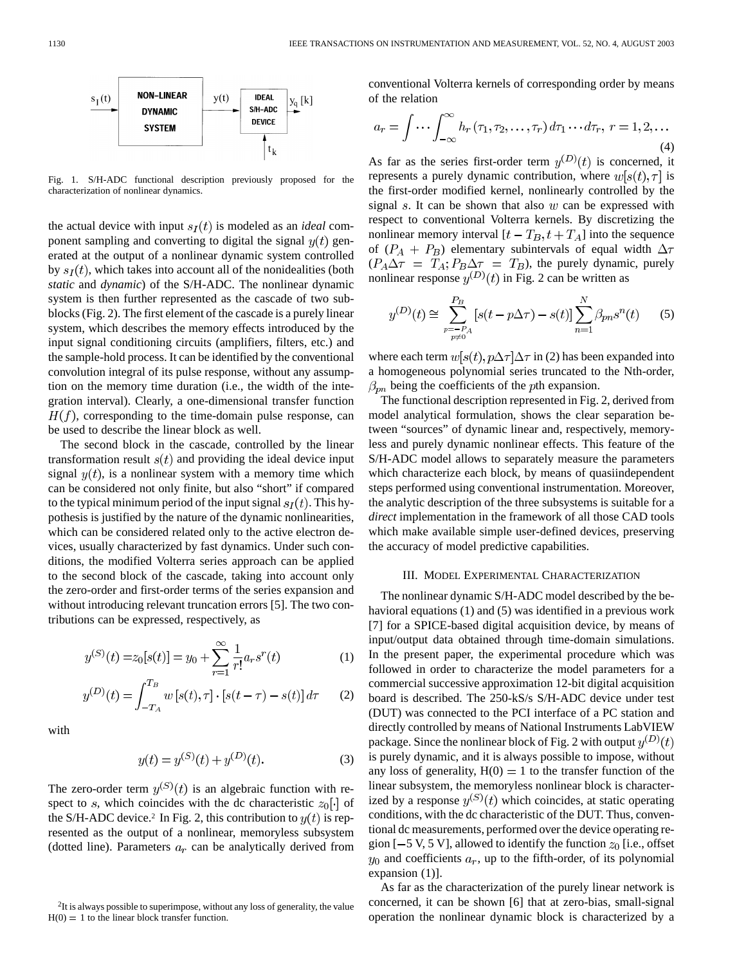

Fig. 1. S/H-ADC functional description previously proposed for the characterization of nonlinear dynamics.

the actual device with input  $s_I(t)$  is modeled as an *ideal* component sampling and converting to digital the signal  $y(t)$  generated at the output of a nonlinear dynamic system controlled by  $s_I(t)$ , which takes into account all of the nonidealities (both *static* and *dynamic*) of the S/H-ADC. The nonlinear dynamic system is then further represented as the cascade of two subblocks (Fig. 2). The first element of the cascade is a purely linear system, which describes the memory effects introduced by the input signal conditioning circuits (amplifiers, filters, etc.) and the sample-hold process. It can be identified by the conventional convolution integral of its pulse response, without any assumption on the memory time duration (i.e., the width of the integration interval). Clearly, a one-dimensional transfer function  $H(f)$ , corresponding to the time-domain pulse response, can be used to describe the linear block as well.

The second block in the cascade, controlled by the linear transformation result  $s(t)$  and providing the ideal device input signal  $y(t)$ , is a nonlinear system with a memory time which can be considered not only finite, but also "short" if compared to the typical minimum period of the input signal  $s_I(t)$ . This hypothesis is justified by the nature of the dynamic nonlinearities, which can be considered related only to the active electron devices, usually characterized by fast dynamics. Under such conditions, the modified Volterra series approach can be applied to the second block of the cascade, taking into account only the zero-order and first-order terms of the series expansion and without introducing relevant truncation errors [5]. The two contributions can be expressed, respectively, as

$$
y^{(S)}(t) = z_0[s(t)] = y_0 + \sum_{r=1}^{\infty} \frac{1}{r!} a_r s^r(t)
$$
 (1)

$$
y^{(D)}(t) = \int_{-T_A}^{T_B} w[s(t), \tau] \cdot [s(t - \tau) - s(t)] d\tau \qquad (2)
$$

with

$$
y(t) = y^{(S)}(t) + y^{(D)}(t).
$$
 (3)

The zero-order term  $y^{(S)}(t)$  is an algebraic function with respect to s, which coincides with the dc characteristic  $z_0[\cdot]$  of the S/H-ADC device.<sup>2</sup> In Fig. 2, this contribution to  $y(t)$  is represented as the output of a nonlinear, memoryless subsystem (dotted line). Parameters  $a_r$  can be analytically derived from conventional Volterra kernels of corresponding order by means of the relation

$$
a_r = \int \cdots \int_{-\infty}^{\infty} h_r(\tau_1, \tau_2, \dots, \tau_r) d\tau_1 \cdots d\tau_r, \ r = 1, 2, \dots
$$
\n(4)

As far as the series first-order term  $y^{(D)}(t)$  is concerned, it represents a purely dynamic contribution, where  $w[s(t), \tau]$  is the first-order modified kernel, nonlinearly controlled by the signal  $s$ . It can be shown that also  $w$  can be expressed with respect to conventional Volterra kernels. By discretizing the nonlinear memory interval  $[t - T_B, t + T_A]$  into the sequence of  $(P_A + P_B)$  elementary subintervals of equal width  $\Delta \tau$  $(P_A \Delta \tau = T_A; P_B \Delta \tau = T_B)$ , the purely dynamic, purely nonlinear response  $y^{(D)}(t)$  in Fig. 2 can be written as

$$
y^{(D)}(t) \cong \sum_{\substack{p=-P_A\\p\neq 0}}^{P_B} [s(t-p\Delta \tau) - s(t)] \sum_{n=1}^{N} \beta_{pn} s^n(t) \qquad (5)
$$

where each term  $w[s(t), p\Delta\tau]\Delta\tau$  in (2) has been expanded into a homogeneous polynomial series truncated to the Nth-order,  $\beta_{pn}$  being the coefficients of the *p*th expansion.

The functional description represented in Fig. 2, derived from model analytical formulation, shows the clear separation between "sources" of dynamic linear and, respectively, memoryless and purely dynamic nonlinear effects. This feature of the S/H-ADC model allows to separately measure the parameters which characterize each block, by means of quasiindependent steps performed using conventional instrumentation. Moreover, the analytic description of the three subsystems is suitable for a *direct* implementation in the framework of all those CAD tools which make available simple user-defined devices, preserving the accuracy of model predictive capabilities.

### III. MODEL EXPERIMENTAL CHARACTERIZATION

The nonlinear dynamic S/H-ADC model described by the behavioral equations (1) and (5) was identified in a previous work [7] for a SPICE-based digital acquisition device, by means of input/output data obtained through time-domain simulations. In the present paper, the experimental procedure which was followed in order to characterize the model parameters for a commercial successive approximation 12-bit digital acquisition board is described. The 250-kS/s S/H-ADC device under test (DUT) was connected to the PCI interface of a PC station and directly controlled by means of National Instruments LabVIEW package. Since the nonlinear block of Fig. 2 with output  $y^{(D)}(t)$ is purely dynamic, and it is always possible to impose, without any loss of generality,  $H(0) = 1$  to the transfer function of the linear subsystem, the memoryless nonlinear block is characterized by a response  $y^{(S)}(t)$  which coincides, at static operating conditions, with the dc characteristic of the DUT. Thus, conventional dc measurements, performed over the device operating region  $[-5 \text{ V}, 5 \text{ V}]$ , allowed to identify the function  $z_0$  [i.e., offset  $y_0$  and coefficients  $a_r$ , up to the fifth-order, of its polynomial expansion (1)].

As far as the characterization of the purely linear network is concerned, it can be shown [6] that at zero-bias, small-signal operation the nonlinear dynamic block is characterized by a

<sup>2</sup>It is always possible to superimpose, without any loss of generality, the value  $H(0) = 1$  to the linear block transfer function.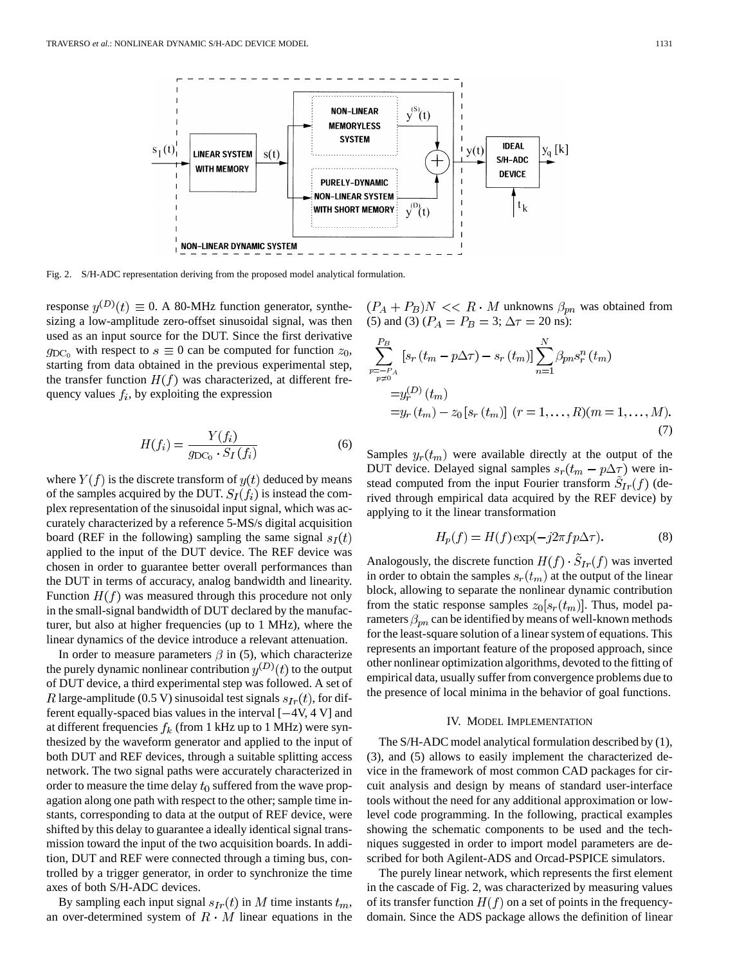

Fig. 2. S/H-ADC representation deriving from the proposed model analytical formulation.

response  $y^{(D)}(t) \equiv 0$ . A 80-MHz function generator, synthesizing a low-amplitude zero-offset sinusoidal signal, was then used as an input source for the DUT. Since the first derivative  $g_{DC_0}$  with respect to  $s \equiv 0$  can be computed for function  $z_0$ , starting from data obtained in the previous experimental step, the transfer function  $H(f)$  was characterized, at different frequency values  $f_i$ , by exploiting the expression

$$
H(f_i) = \frac{Y(f_i)}{g_{\text{DC}_0} \cdot S_I(f_i)}\tag{6}
$$

where  $Y(f)$  is the discrete transform of  $y(t)$  deduced by means of the samples acquired by the DUT.  $S_I(f_i)$  is instead the complex representation of the sinusoidal input signal, which was accurately characterized by a reference 5-MS/s digital acquisition board (REF in the following) sampling the same signal  $s_I(t)$ applied to the input of the DUT device. The REF device was chosen in order to guarantee better overall performances than the DUT in terms of accuracy, analog bandwidth and linearity. Function  $H(f)$  was measured through this procedure not only in the small-signal bandwidth of DUT declared by the manufacturer, but also at higher frequencies (up to 1 MHz), where the linear dynamics of the device introduce a relevant attenuation.

In order to measure parameters  $\beta$  in (5), which characterize the purely dynamic nonlinear contribution  $y^{(D)}(t)$  to the output of DUT device, a third experimental step was followed. A set of R large-amplitude (0.5 V) sinusoidal test signals  $s_{Ir}(t)$ , for different equally-spaced bias values in the interval  $[-4V, 4 V]$  and at different frequencies  $f_k$  (from 1 kHz up to 1 MHz) were synthesized by the waveform generator and applied to the input of both DUT and REF devices, through a suitable splitting access network. The two signal paths were accurately characterized in order to measure the time delay  $t_0$  suffered from the wave propagation along one path with respect to the other; sample time instants, corresponding to data at the output of REF device, were shifted by this delay to guarantee a ideally identical signal transmission toward the input of the two acquisition boards. In addition, DUT and REF were connected through a timing bus, controlled by a trigger generator, in order to synchronize the time axes of both S/H-ADC devices.

By sampling each input signal  $s_{Ir}(t)$  in M time instants  $t_m$ , an over-determined system of  $R \cdot M$  linear equations in the  $(P_A + P_B)N \ll R \cdot M$  unknowns  $\beta_{pn}$  was obtained from (5) and (3) ( $P_A = P_B = 3$ ;  $\Delta \tau = 20$  ns):

$$
\sum_{\substack{p=-P_A \\ p \neq 0}}^{P_B} [s_r(t_m - p\Delta \tau) - s_r(t_m)] \sum_{n=1}^{N} \beta_{pn} s_r^n(t_m)
$$
  
=  $y_r^{(D)}(t_m)$   
=  $y_r(t_m) - z_0 [s_r(t_m)]$   $(r = 1, ..., R)(m = 1, ..., M).$  (7)

Samples  $y_r(t_m)$  were available directly at the output of the DUT device. Delayed signal samples  $s_r(t_m - p\Delta \tau)$  were instead computed from the input Fourier transform  $S_{Ir}(f)$  (derived through empirical data acquired by the REF device) by applying to it the linear transformation

$$
H_p(f) = H(f) \exp(-j2\pi fp\Delta \tau). \tag{8}
$$

Analogously, the discrete function  $H(f) \cdot \tilde{S}_{Ir}(f)$  was inverted in order to obtain the samples  $s_r(t_m)$  at the output of the linear block, allowing to separate the nonlinear dynamic contribution from the static response samples  $z_0[s_r(t_m)]$ . Thus, model parameters  $\beta_{pn}$  can be identified by means of well-known methods for the least-square solution of a linear system of equations. This represents an important feature of the proposed approach, since other nonlinear optimization algorithms, devoted to the fitting of empirical data, usually suffer from convergence problems due to the presence of local minima in the behavior of goal functions.

#### IV. MODEL IMPLEMENTATION

The S/H-ADC model analytical formulation described by (1), (3), and (5) allows to easily implement the characterized device in the framework of most common CAD packages for circuit analysis and design by means of standard user-interface tools without the need for any additional approximation or lowlevel code programming. In the following, practical examples showing the schematic components to be used and the techniques suggested in order to import model parameters are described for both Agilent-ADS and Orcad-PSPICE simulators.

The purely linear network, which represents the first element in the cascade of Fig. 2, was characterized by measuring values of its transfer function  $H(f)$  on a set of points in the frequencydomain. Since the ADS package allows the definition of linear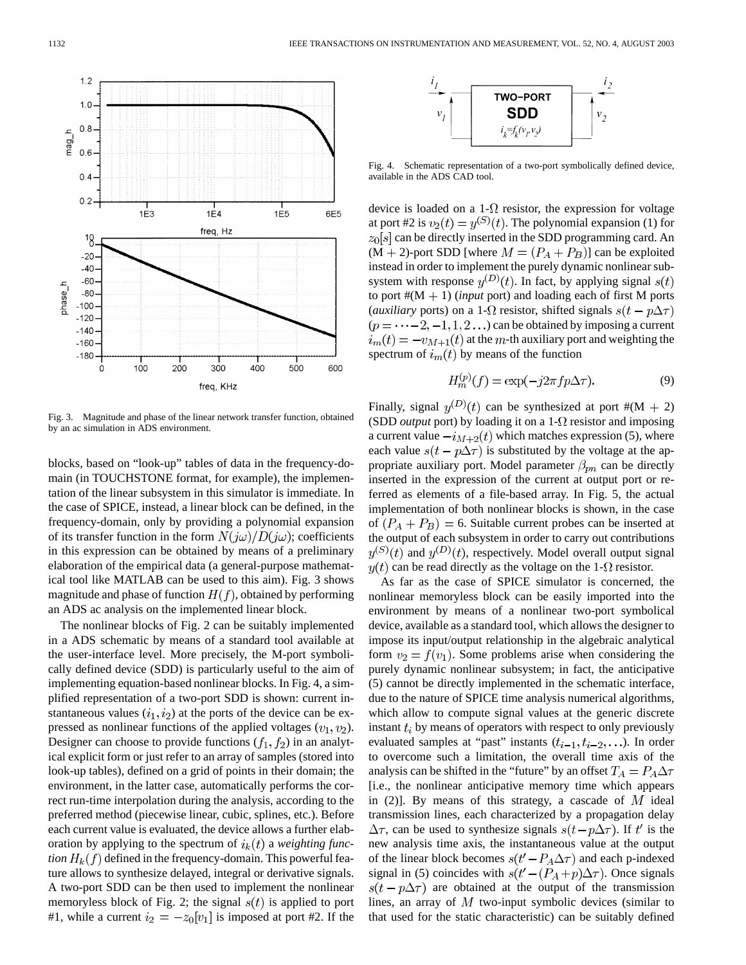

Fig. 3. Magnitude and phase of the linear network transfer function, obtained by an ac simulation in ADS environment.

blocks, based on "look-up" tables of data in the frequency-domain (in TOUCHSTONE format, for example), the implementation of the linear subsystem in this simulator is immediate. In the case of SPICE, instead, a linear block can be defined, in the frequency-domain, only by providing a polynomial expansion of its transfer function in the form  $N(j\omega)/D(j\omega)$ ; coefficients in this expression can be obtained by means of a preliminary elaboration of the empirical data (a general-purpose mathematical tool like MATLAB can be used to this aim). Fig. 3 shows magnitude and phase of function  $H(f)$ , obtained by performing an ADS ac analysis on the implemented linear block.

The nonlinear blocks of Fig. 2 can be suitably implemented in a ADS schematic by means of a standard tool available at the user-interface level. More precisely, the M-port symbolically defined device (SDD) is particularly useful to the aim of implementing equation-based nonlinear blocks. In Fig. 4, a simplified representation of a two-port SDD is shown: current instantaneous values  $(i_1, i_2)$  at the ports of the device can be expressed as nonlinear functions of the applied voltages  $(v_1, v_2)$ . Designer can choose to provide functions  $(f_1, f_2)$  in an analytical explicit form or just refer to an array of samples (stored into look-up tables), defined on a grid of points in their domain; the environment, in the latter case, automatically performs the correct run-time interpolation during the analysis, according to the preferred method (piecewise linear, cubic, splines, etc.). Before each current value is evaluated, the device allows a further elaboration by applying to the spectrum of  $i_k(t)$  a *weighting function*  $H_k(f)$  defined in the frequency-domain. This powerful feature allows to synthesize delayed, integral or derivative signals. A two-port SDD can be then used to implement the nonlinear memoryless block of Fig. 2; the signal  $s(t)$  is applied to port #1, while a current  $i_2 = -z_0[v_1]$  is imposed at port #2. If the



Fig. 4. Schematic representation of a two-port symbolically defined device, available in the ADS CAD tool.

device is loaded on a 1- $\Omega$  resistor, the expression for voltage at port #2 is  $v_2(t) = y^{(S)}(t)$ . The polynomial expansion (1) for  $z_0$ [s] can be directly inserted in the SDD programming card. An  $(M + 2)$ -port SDD [where  $M = (P_A + P_B)$ ] can be exploited instead in order to implement the purely dynamic nonlinear subsystem with response  $y^{(D)}(t)$ . In fact, by applying signal  $s(t)$ to port  $\#(M + 1)$  (*input* port) and loading each of first M ports (*auxiliary* ports) on a 1- $\Omega$  resistor, shifted signals  $s(t - p\Delta\tau)$  $(p = \cdots -2, -1, 1, 2 \dots)$  can be obtained by imposing a current  $i_m(t) = -v_{M+1}(t)$  at the m-th auxiliary port and weighting the spectrum of  $i_m(t)$  by means of the function

$$
H_m^{(p)}(f) = \exp(-j2\pi f p \Delta \tau). \tag{9}
$$

Finally, signal  $y^{(D)}(t)$  can be synthesized at port #(M + 2) (SDD *output* port) by loading it on a  $1-\Omega$  resistor and imposing a current value  $-i_{M+2}(t)$  which matches expression (5), where each value  $s(t - p\Delta \tau)$  is substituted by the voltage at the appropriate auxiliary port. Model parameter  $\beta_{pn}$  can be directly inserted in the expression of the current at output port or referred as elements of a file-based array. In Fig. 5, the actual implementation of both nonlinear blocks is shown, in the case of  $(P_A + P_B) = 6$ . Suitable current probes can be inserted at the output of each subsystem in order to carry out contributions  $y^{(S)}(t)$  and  $y^{(D)}(t)$ , respectively. Model overall output signal  $y(t)$  can be read directly as the voltage on the 1- $\Omega$  resistor.

As far as the case of SPICE simulator is concerned, the nonlinear memoryless block can be easily imported into the environment by means of a nonlinear two-port symbolical device, available as a standard tool, which allows the designer to impose its input/output relationship in the algebraic analytical form  $v_2 = f(v_1)$ . Some problems arise when considering the purely dynamic nonlinear subsystem; in fact, the anticipative (5) cannot be directly implemented in the schematic interface, due to the nature of SPICE time analysis numerical algorithms, which allow to compute signal values at the generic discrete instant  $t_i$  by means of operators with respect to only previously evaluated samples at "past" instants  $(t_{i-1}, t_{i-2}, \ldots)$ . In order to overcome such a limitation, the overall time axis of the analysis can be shifted in the "future" by an offset  $T_A = P_A \Delta \tau$ [i.e., the nonlinear anticipative memory time which appears in (2)]. By means of this strategy, a cascade of  $M$  ideal transmission lines, each characterized by a propagation delay  $\Delta \tau$ , can be used to synthesize signals  $s(t - p\Delta \tau)$ . If t' is the new analysis time axis, the instantaneous value at the output of the linear block becomes  $s(t'-P_A\Delta\tau)$  and each p-indexed signal in (5) coincides with  $s(t'-(P_A+p)\Delta\tau)$ . Once signals  $s(t - p\Delta \tau)$  are obtained at the output of the transmission lines, an array of  $M$  two-input symbolic devices (similar to that used for the static characteristic) can be suitably defined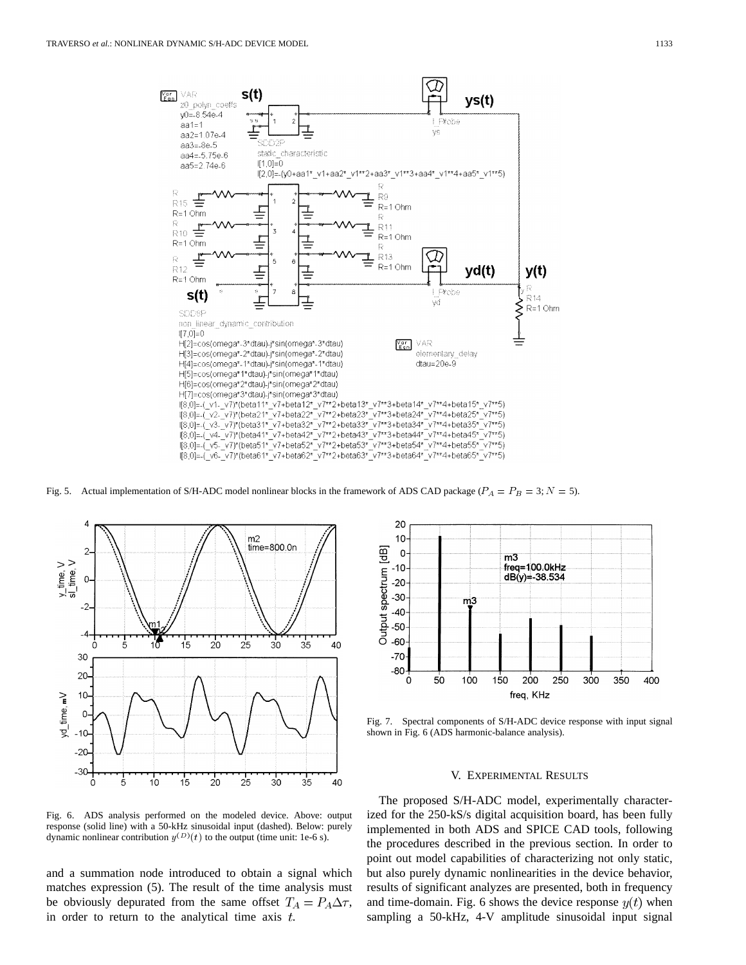

Fig. 5. Actual implementation of S/H-ADC model nonlinear blocks in the framework of ADS CAD package ( $P_A = P_B = 3$ ;  $N = 5$ ).





Fig. 7. Spectral components of S/H-ADC device response with input signal shown in Fig. 6 (ADS harmonic-balance analysis).

#### V. EXPERIMENTAL RESULTS

Fig. 6. ADS analysis performed on the modeled device. Above: output response (solid line) with a 50-kHz sinusoidal input (dashed). Below: purely dynamic nonlinear contribution  $y^{(D)}(t)$  to the output (time unit: 1e-6 s).

and a summation node introduced to obtain a signal which matches expression (5). The result of the time analysis must be obviously depurated from the same offset  $T_A = P_A \Delta \tau$ , in order to return to the analytical time axis  $t$ .

The proposed S/H-ADC model, experimentally characterized for the 250-kS/s digital acquisition board, has been fully implemented in both ADS and SPICE CAD tools, following the procedures described in the previous section. In order to point out model capabilities of characterizing not only static, but also purely dynamic nonlinearities in the device behavior, results of significant analyzes are presented, both in frequency and time-domain. Fig. 6 shows the device response  $y(t)$  when sampling a 50-kHz, 4-V amplitude sinusoidal input signal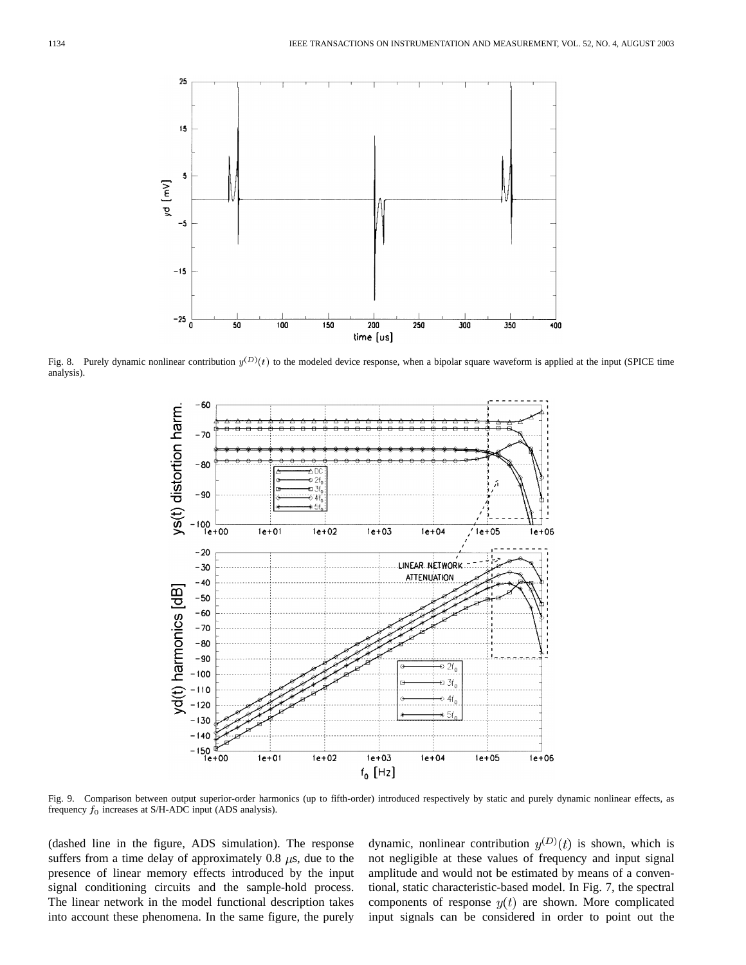

Fig. 8. Purely dynamic nonlinear contribution  $y^{(D)}(t)$  to the modeled device response, when a bipolar square waveform is applied at the input (SPICE time analysis).



Fig. 9. Comparison between output superior-order harmonics (up to fifth-order) introduced respectively by static and purely dynamic nonlinear effects, as frequency  $f_0$  increases at S/H-ADC input (ADS analysis).

(dashed line in the figure, ADS simulation). The response suffers from a time delay of approximately 0.8  $\mu$ s, due to the presence of linear memory effects introduced by the input signal conditioning circuits and the sample-hold process. The linear network in the model functional description takes into account these phenomena. In the same figure, the purely dynamic, nonlinear contribution  $y^{(D)}(t)$  is shown, which is not negligible at these values of frequency and input signal amplitude and would not be estimated by means of a conventional, static characteristic-based model. In Fig. 7, the spectral components of response  $y(t)$  are shown. More complicated input signals can be considered in order to point out the